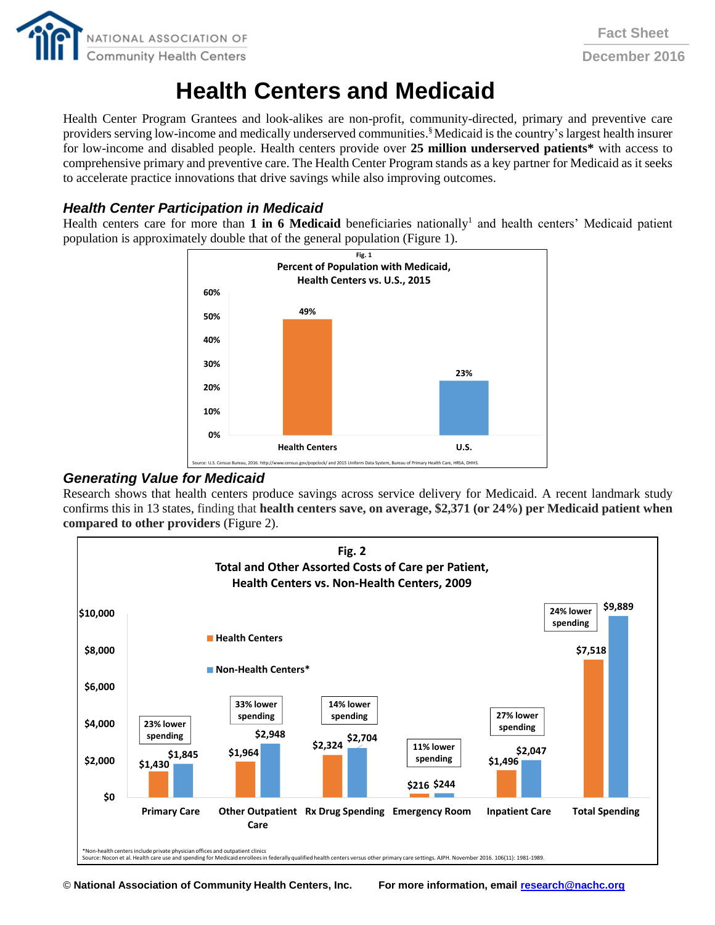

# **Health Centers and Medicaid**

Health Center Program Grantees and look-alikes are non-profit, community-directed, primary and preventive care providers serving low-income and medically underserved communities.<sup>§</sup> Medicaid is the country's largest health insurer for low-income and disabled people. Health centers provide over **25 million underserved patients\*** with access to comprehensive primary and preventive care. The Health Center Program stands as a key partner for Medicaid as it seeks to accelerate practice innovations that drive savings while also improving outcomes.

## *Health Center Participation in Medicaid*

Health centers care for more than 1 in 6 Medicaid beneficiaries nationally<sup>1</sup> and health centers' Medicaid patient population is approximately double that of the general population (Figure 1).



### *Generating Value for Medicaid*

Research shows that health centers produce savings across service delivery for Medicaid. A recent landmark study confirms this in 13 states, finding that **health centers save, on average, \$2,371 (or 24%) per Medicaid patient when compared to other providers** (Figure 2).



© **National Association of Community Health Centers, Inc. For more information, emai[l research@nachc.org](mailto:research@nachc.org)**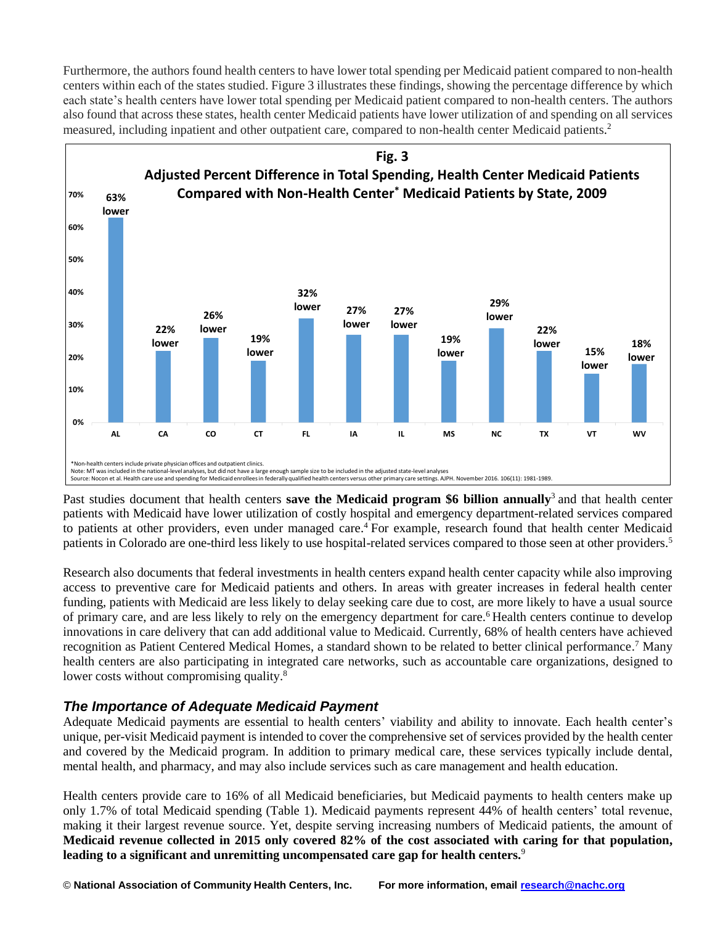Furthermore, the authors found health centers to have lower total spending per Medicaid patient compared to non-health centers within each of the states studied. Figure 3 illustrates these findings, showing the percentage difference by which each state's health centers have lower total spending per Medicaid patient compared to non-health centers. The authors also found that across these states, health center Medicaid patients have lower utilization of and spending on all services measured, including inpatient and other outpatient care, compared to non-health center Medicaid patients. 2



Past studies document that health centers **save the Medicaid program \$6 billion annually**<sup>3</sup> and that health center patients with Medicaid have lower utilization of costly hospital and emergency department-related services compared to patients at other providers, even under managed care. <sup>4</sup> For example, research found that health center Medicaid patients in Colorado are one-third less likely to use hospital-related services compared to those seen at other providers.<sup>5</sup>

Research also documents that federal investments in health centers expand health center capacity while also improving access to preventive care for Medicaid patients and others. In areas with greater increases in federal health center funding, patients with Medicaid are less likely to delay seeking care due to cost, are more likely to have a usual source of primary care, and are less likely to rely on the emergency department for care.<sup>6</sup> Health centers continue to develop innovations in care delivery that can add additional value to Medicaid. Currently, 68% of health centers have achieved recognition as Patient Centered Medical Homes, a standard shown to be related to better clinical performance.<sup>7</sup> Many health centers are also participating in integrated care networks, such as accountable care organizations, designed to lower costs without compromising quality.<sup>8</sup>

# *The Importance of Adequate Medicaid Payment*

Adequate Medicaid payments are essential to health centers' viability and ability to innovate. Each health center's unique, per-visit Medicaid payment is intended to cover the comprehensive set of services provided by the health center and covered by the Medicaid program. In addition to primary medical care, these services typically include dental, mental health, and pharmacy, and may also include services such as care management and health education.

Health centers provide care to 16% of all Medicaid beneficiaries, but Medicaid payments to health centers make up only 1.7% of total Medicaid spending (Table 1). Medicaid payments represent 44% of health centers' total revenue, making it their largest revenue source. Yet, despite serving increasing numbers of Medicaid patients, the amount of **Medicaid revenue collected in 2015 only covered 82% of the cost associated with caring for that population, leading to a significant and unremitting uncompensated care gap for health centers.**<sup>9</sup>